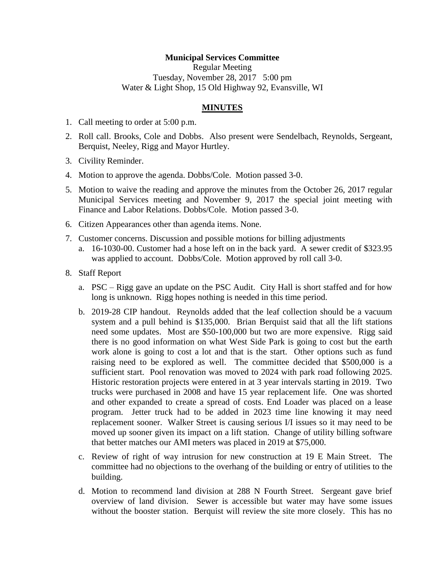## **Municipal Services Committee**

Regular Meeting Tuesday, November 28, 2017 5:00 pm Water & Light Shop, 15 Old Highway 92, Evansville, WI

## **MINUTES**

- 1. Call meeting to order at 5:00 p.m.
- 2. Roll call. Brooks, Cole and Dobbs. Also present were Sendelbach, Reynolds, Sergeant, Berquist, Neeley, Rigg and Mayor Hurtley.
- 3. Civility Reminder.
- 4. Motion to approve the agenda. Dobbs/Cole. Motion passed 3-0.
- 5. Motion to waive the reading and approve the minutes from the October 26, 2017 regular Municipal Services meeting and November 9, 2017 the special joint meeting with Finance and Labor Relations. Dobbs/Cole. Motion passed 3-0.
- 6. Citizen Appearances other than agenda items. None.
- 7. Customer concerns. Discussion and possible motions for billing adjustments
	- a. 16-1030-00. Customer had a hose left on in the back yard. A sewer credit of \$323.95 was applied to account. Dobbs/Cole. Motion approved by roll call 3-0.
- 8. Staff Report
	- a. PSC Rigg gave an update on the PSC Audit. City Hall is short staffed and for how long is unknown. Rigg hopes nothing is needed in this time period.
	- b. 2019-28 CIP handout. Reynolds added that the leaf collection should be a vacuum system and a pull behind is \$135,000. Brian Berquist said that all the lift stations need some updates. Most are \$50-100,000 but two are more expensive. Rigg said there is no good information on what West Side Park is going to cost but the earth work alone is going to cost a lot and that is the start. Other options such as fund raising need to be explored as well. The committee decided that \$500,000 is a sufficient start. Pool renovation was moved to 2024 with park road following 2025. Historic restoration projects were entered in at 3 year intervals starting in 2019. Two trucks were purchased in 2008 and have 15 year replacement life. One was shorted and other expanded to create a spread of costs. End Loader was placed on a lease program. Jetter truck had to be added in 2023 time line knowing it may need replacement sooner. Walker Street is causing serious I/I issues so it may need to be moved up sooner given its impact on a lift station. Change of utility billing software that better matches our AMI meters was placed in 2019 at \$75,000.
	- c. Review of right of way intrusion for new construction at 19 E Main Street. The committee had no objections to the overhang of the building or entry of utilities to the building.
	- d. Motion to recommend land division at 288 N Fourth Street. Sergeant gave brief overview of land division. Sewer is accessible but water may have some issues without the booster station. Berquist will review the site more closely. This has no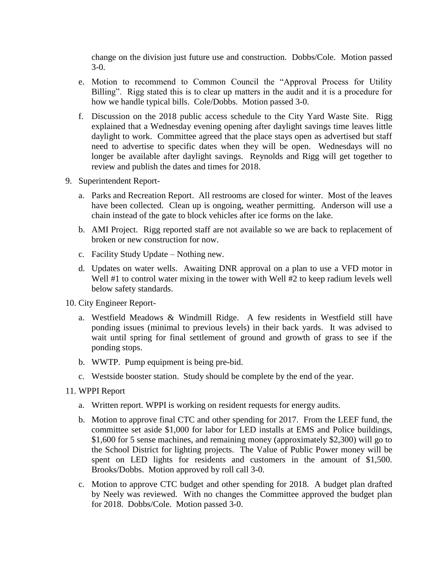change on the division just future use and construction. Dobbs/Cole. Motion passed 3-0.

- e. Motion to recommend to Common Council the "Approval Process for Utility Billing". Rigg stated this is to clear up matters in the audit and it is a procedure for how we handle typical bills. Cole/Dobbs. Motion passed 3-0.
- f. Discussion on the 2018 public access schedule to the City Yard Waste Site. Rigg explained that a Wednesday evening opening after daylight savings time leaves little daylight to work. Committee agreed that the place stays open as advertised but staff need to advertise to specific dates when they will be open. Wednesdays will no longer be available after daylight savings. Reynolds and Rigg will get together to review and publish the dates and times for 2018.
- 9. Superintendent Report
	- a. Parks and Recreation Report. All restrooms are closed for winter. Most of the leaves have been collected. Clean up is ongoing, weather permitting. Anderson will use a chain instead of the gate to block vehicles after ice forms on the lake.
	- b. AMI Project. Rigg reported staff are not available so we are back to replacement of broken or new construction for now.
	- c. Facility Study Update Nothing new.
	- d. Updates on water wells. Awaiting DNR approval on a plan to use a VFD motor in Well #1 to control water mixing in the tower with Well #2 to keep radium levels well below safety standards.
- 10. City Engineer Report
	- a. Westfield Meadows & Windmill Ridge. A few residents in Westfield still have ponding issues (minimal to previous levels) in their back yards. It was advised to wait until spring for final settlement of ground and growth of grass to see if the ponding stops.
	- b. WWTP. Pump equipment is being pre-bid.
	- c. Westside booster station. Study should be complete by the end of the year.
- 11. WPPI Report
	- a. Written report. WPPI is working on resident requests for energy audits.
	- b. Motion to approve final CTC and other spending for 2017. From the LEEF fund, the committee set aside \$1,000 for labor for LED installs at EMS and Police buildings, \$1,600 for 5 sense machines, and remaining money (approximately \$2,300) will go to the School District for lighting projects. The Value of Public Power money will be spent on LED lights for residents and customers in the amount of \$1,500. Brooks/Dobbs. Motion approved by roll call 3-0.
	- c. Motion to approve CTC budget and other spending for 2018. A budget plan drafted by Neely was reviewed. With no changes the Committee approved the budget plan for 2018. Dobbs/Cole. Motion passed 3-0.